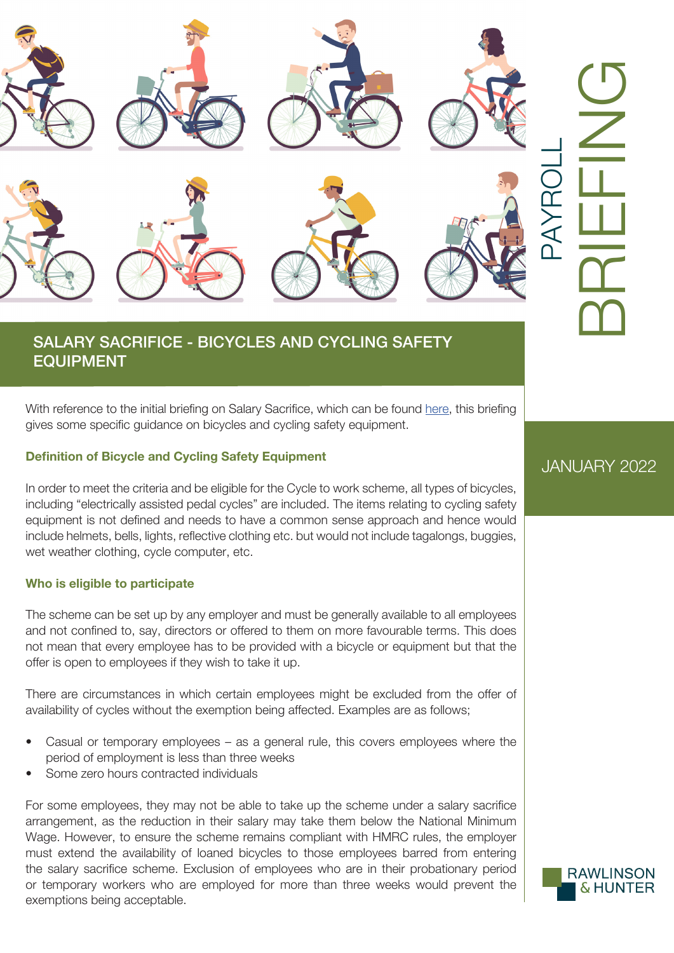

## SALARY SACRIFICE - BICYCLES AND CYCLING SAFETY EQUIPMENT

With reference to the initial briefing on Salary Sacrifice, which can be found [here](https://www.rawlinson-hunter.com/wp-content/uploads/2021/09/Salary-Sacrifice-or-Exchange-August-2021.pdf), this briefing gives some specific guidance on bicycles and cycling safety equipment.

## **Definition of Bicycle and Cycling Safety Equipment**

In order to meet the criteria and be eligible for the Cycle to work scheme, all types of bicycles, including "electrically assisted pedal cycles" are included. The items relating to cycling safety equipment is not defined and needs to have a common sense approach and hence would include helmets, bells, lights, reflective clothing etc. but would not include tagalongs, buggies, wet weather clothing, cycle computer, etc.

### **Who is eligible to participate**

The scheme can be set up by any employer and must be generally available to all employees and not confined to, say, directors or offered to them on more favourable terms. This does not mean that every employee has to be provided with a bicycle or equipment but that the offer is open to employees if they wish to take it up.

There are circumstances in which certain employees might be excluded from the offer of availability of cycles without the exemption being affected. Examples are as follows;

- Casual or temporary employees as a general rule, this covers employees where the period of employment is less than three weeks
- Some zero hours contracted individuals

For some employees, they may not be able to take up the scheme under a salary sacrifice arrangement, as the reduction in their salary may take them below the National Minimum Wage. However, to ensure the scheme remains compliant with HMRC rules, the employer must extend the availability of loaned bicycles to those employees barred from entering the salary sacrifice scheme. Exclusion of employees who are in their probationary period or temporary workers who are employed for more than three weeks would prevent the exemptions being acceptable.

# JANUARY 2022

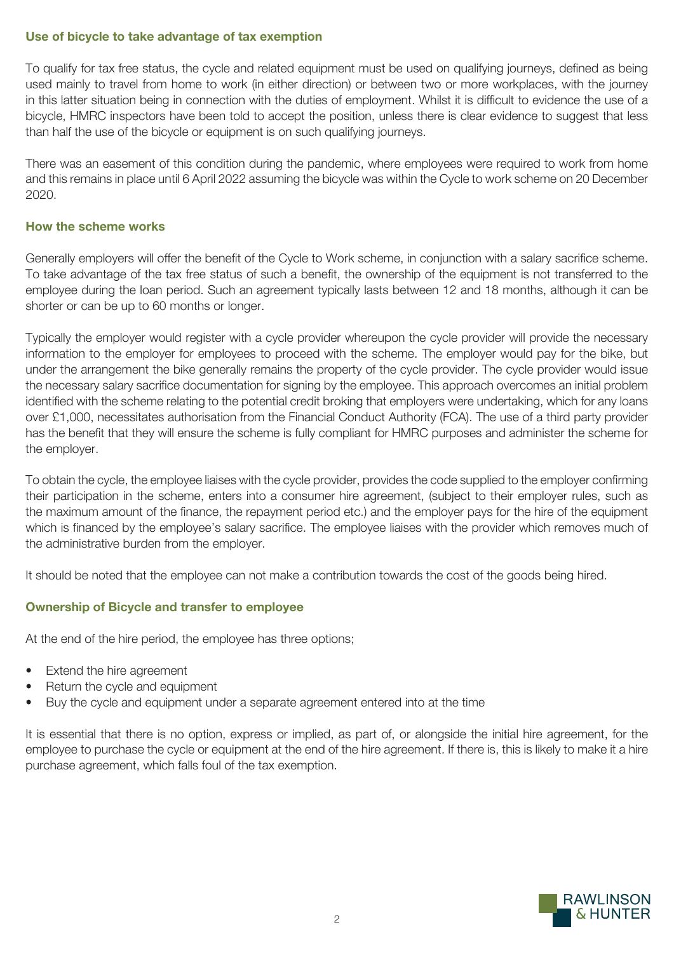## **Use of bicycle to take advantage of tax exemption**

To qualify for tax free status, the cycle and related equipment must be used on qualifying journeys, defined as being used mainly to travel from home to work (in either direction) or between two or more workplaces, with the journey in this latter situation being in connection with the duties of employment. Whilst it is difficult to evidence the use of a bicycle, HMRC inspectors have been told to accept the position, unless there is clear evidence to suggest that less than half the use of the bicycle or equipment is on such qualifying journeys.

There was an easement of this condition during the pandemic, where employees were required to work from home and this remains in place until 6 April 2022 assuming the bicycle was within the Cycle to work scheme on 20 December 2020.

## **How the scheme works**

Generally employers will offer the benefit of the Cycle to Work scheme, in conjunction with a salary sacrifice scheme. To take advantage of the tax free status of such a benefit, the ownership of the equipment is not transferred to the employee during the loan period. Such an agreement typically lasts between 12 and 18 months, although it can be shorter or can be up to 60 months or longer.

Typically the employer would register with a cycle provider whereupon the cycle provider will provide the necessary information to the employer for employees to proceed with the scheme. The employer would pay for the bike, but under the arrangement the bike generally remains the property of the cycle provider. The cycle provider would issue the necessary salary sacrifice documentation for signing by the employee. This approach overcomes an initial problem identified with the scheme relating to the potential credit broking that employers were undertaking, which for any loans over £1,000, necessitates authorisation from the Financial Conduct Authority (FCA). The use of a third party provider has the benefit that they will ensure the scheme is fully compliant for HMRC purposes and administer the scheme for the employer.

To obtain the cycle, the employee liaises with the cycle provider, provides the code supplied to the employer confirming their participation in the scheme, enters into a consumer hire agreement, (subject to their employer rules, such as the maximum amount of the finance, the repayment period etc.) and the employer pays for the hire of the equipment which is financed by the employee's salary sacrifice. The employee liaises with the provider which removes much of the administrative burden from the employer.

It should be noted that the employee can not make a contribution towards the cost of the goods being hired.

## **Ownership of Bicycle and transfer to employee**

At the end of the hire period, the employee has three options;

- Extend the hire agreement
- Return the cycle and equipment
- Buy the cycle and equipment under a separate agreement entered into at the time

It is essential that there is no option, express or implied, as part of, or alongside the initial hire agreement, for the employee to purchase the cycle or equipment at the end of the hire agreement. If there is, this is likely to make it a hire purchase agreement, which falls foul of the tax exemption.

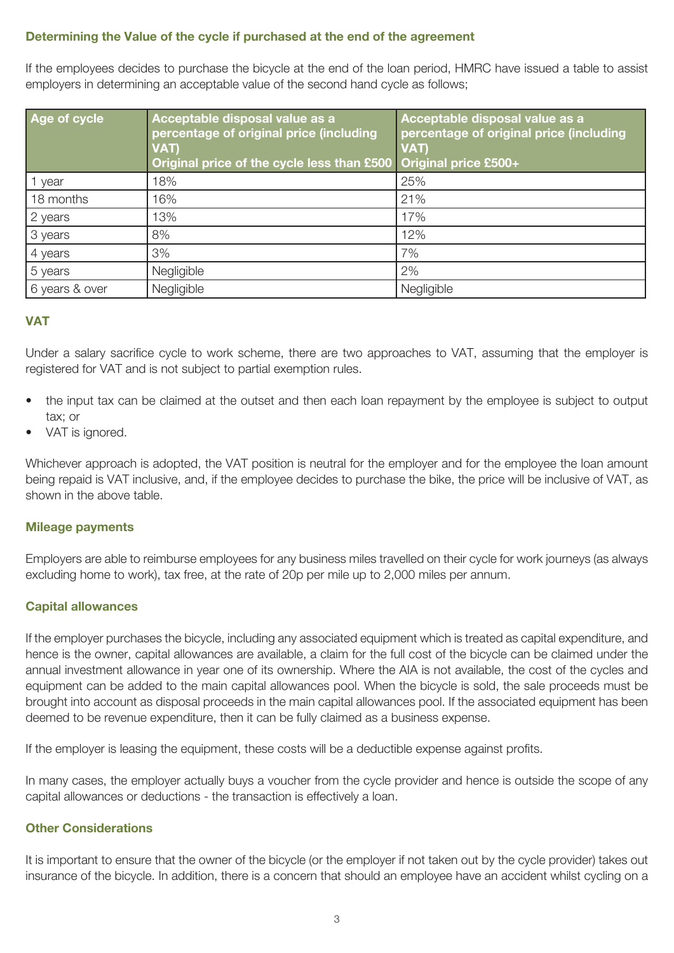## **Determining the Value of the cycle if purchased at the end of the agreement**

If the employees decides to purchase the bicycle at the end of the loan period, HMRC have issued a table to assist employers in determining an acceptable value of the second hand cycle as follows;

| Age of cycle   | Acceptable disposal value as a<br>percentage of original price (including<br>VAT)<br>Original price of the cycle less than £500 Original price £500+ | Acceptable disposal value as a<br>percentage of original price (including<br>VAT) |
|----------------|------------------------------------------------------------------------------------------------------------------------------------------------------|-----------------------------------------------------------------------------------|
| 1 year         | 18%                                                                                                                                                  | 25%                                                                               |
| 18 months      | 16%                                                                                                                                                  | 21%                                                                               |
| 2 years        | 13%                                                                                                                                                  | 17%                                                                               |
| 3 years        | 8%                                                                                                                                                   | 12%                                                                               |
| 4 years        | 3%                                                                                                                                                   | 7%                                                                                |
| 5 years        | Negligible                                                                                                                                           | 2%                                                                                |
| 6 years & over | Negligible                                                                                                                                           | Negligible                                                                        |

## **VAT**

Under a salary sacrifice cycle to work scheme, there are two approaches to VAT, assuming that the employer is registered for VAT and is not subject to partial exemption rules.

- the input tax can be claimed at the outset and then each loan repayment by the employee is subject to output tax; or
- VAT is ignored.

Whichever approach is adopted, the VAT position is neutral for the employer and for the employee the loan amount being repaid is VAT inclusive, and, if the employee decides to purchase the bike, the price will be inclusive of VAT, as shown in the above table.

### **Mileage payments**

Employers are able to reimburse employees for any business miles travelled on their cycle for work journeys (as always excluding home to work), tax free, at the rate of 20p per mile up to 2,000 miles per annum.

### **Capital allowances**

If the employer purchases the bicycle, including any associated equipment which is treated as capital expenditure, and hence is the owner, capital allowances are available, a claim for the full cost of the bicycle can be claimed under the annual investment allowance in year one of its ownership. Where the AIA is not available, the cost of the cycles and equipment can be added to the main capital allowances pool. When the bicycle is sold, the sale proceeds must be brought into account as disposal proceeds in the main capital allowances pool. If the associated equipment has been deemed to be revenue expenditure, then it can be fully claimed as a business expense.

If the employer is leasing the equipment, these costs will be a deductible expense against profits.

In many cases, the employer actually buys a voucher from the cycle provider and hence is outside the scope of any capital allowances or deductions - the transaction is effectively a loan.

## **Other Considerations**

It is important to ensure that the owner of the bicycle (or the employer if not taken out by the cycle provider) takes out insurance of the bicycle. In addition, there is a concern that should an employee have an accident whilst cycling on a